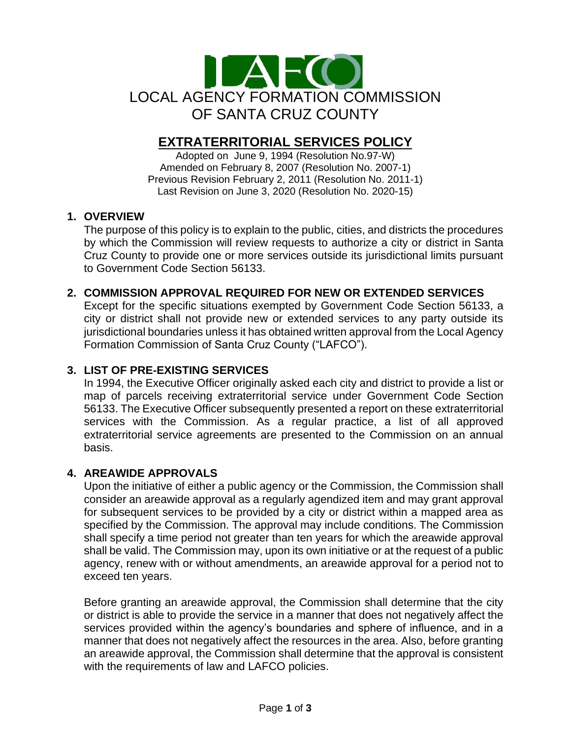

# **EXTRATERRITORIAL SERVICES POLICY**

Adopted on June 9, 1994 (Resolution No.97-W) Amended on February 8, 2007 (Resolution No. 2007-1) Previous Revision February 2, 2011 (Resolution No. 2011-1) Last Revision on June 3, 2020 (Resolution No. 2020-15)

# **1. OVERVIEW**

The purpose of this policy is to explain to the public, cities, and districts the procedures by which the Commission will review requests to authorize a city or district in Santa Cruz County to provide one or more services outside its jurisdictional limits pursuant to Government Code Section 56133.

# **2. COMMISSION APPROVAL REQUIRED FOR NEW OR EXTENDED SERVICES**

Except for the specific situations exempted by Government Code Section 56133, a city or district shall not provide new or extended services to any party outside its jurisdictional boundaries unless it has obtained written approval from the Local Agency Formation Commission of Santa Cruz County ("LAFCO").

#### **3. LIST OF PRE-EXISTING SERVICES**

In 1994, the Executive Officer originally asked each city and district to provide a list or map of parcels receiving extraterritorial service under Government Code Section 56133. The Executive Officer subsequently presented a report on these extraterritorial services with the Commission. As a regular practice, a list of all approved extraterritorial service agreements are presented to the Commission on an annual basis.

#### **4. AREAWIDE APPROVALS**

Upon the initiative of either a public agency or the Commission, the Commission shall consider an areawide approval as a regularly agendized item and may grant approval for subsequent services to be provided by a city or district within a mapped area as specified by the Commission. The approval may include conditions. The Commission shall specify a time period not greater than ten years for which the areawide approval shall be valid. The Commission may, upon its own initiative or at the request of a public agency, renew with or without amendments, an areawide approval for a period not to exceed ten years.

Before granting an areawide approval, the Commission shall determine that the city or district is able to provide the service in a manner that does not negatively affect the services provided within the agency's boundaries and sphere of influence, and in a manner that does not negatively affect the resources in the area. Also, before granting an areawide approval, the Commission shall determine that the approval is consistent with the requirements of law and LAFCO policies.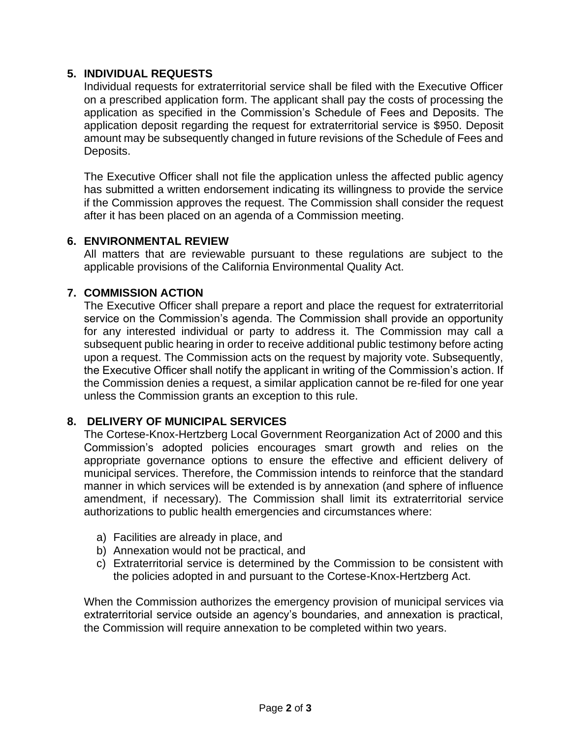#### **5. INDIVIDUAL REQUESTS**

Individual requests for extraterritorial service shall be filed with the Executive Officer on a prescribed application form. The applicant shall pay the costs of processing the application as specified in the Commission's Schedule of Fees and Deposits. The application deposit regarding the request for extraterritorial service is \$950. Deposit amount may be subsequently changed in future revisions of the Schedule of Fees and Deposits.

The Executive Officer shall not file the application unless the affected public agency has submitted a written endorsement indicating its willingness to provide the service if the Commission approves the request. The Commission shall consider the request after it has been placed on an agenda of a Commission meeting.

#### **6. ENVIRONMENTAL REVIEW**

All matters that are reviewable pursuant to these regulations are subject to the applicable provisions of the California Environmental Quality Act.

# **7. COMMISSION ACTION**

The Executive Officer shall prepare a report and place the request for extraterritorial service on the Commission's agenda. The Commission shall provide an opportunity for any interested individual or party to address it. The Commission may call a subsequent public hearing in order to receive additional public testimony before acting upon a request. The Commission acts on the request by majority vote. Subsequently, the Executive Officer shall notify the applicant in writing of the Commission's action. If the Commission denies a request, a similar application cannot be re-filed for one year unless the Commission grants an exception to this rule.

# **8. DELIVERY OF MUNICIPAL SERVICES**

The Cortese-Knox-Hertzberg Local Government Reorganization Act of 2000 and this Commission's adopted policies encourages smart growth and relies on the appropriate governance options to ensure the effective and efficient delivery of municipal services. Therefore, the Commission intends to reinforce that the standard manner in which services will be extended is by annexation (and sphere of influence amendment, if necessary). The Commission shall limit its extraterritorial service authorizations to public health emergencies and circumstances where:

- a) Facilities are already in place, and
- b) Annexation would not be practical, and
- c) Extraterritorial service is determined by the Commission to be consistent with the policies adopted in and pursuant to the Cortese-Knox-Hertzberg Act.

When the Commission authorizes the emergency provision of municipal services via extraterritorial service outside an agency's boundaries, and annexation is practical, the Commission will require annexation to be completed within two years.